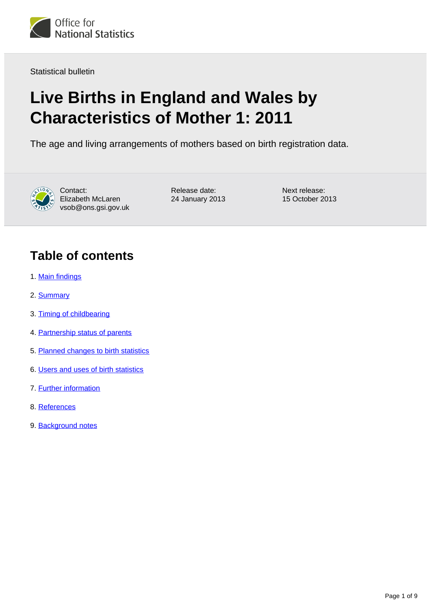

Statistical bulletin

# **Live Births in England and Wales by Characteristics of Mother 1: 2011**

The age and living arrangements of mothers based on birth registration data.



Contact: Elizabeth McLaren vsob@ons.gsi.gov.uk

Release date: 24 January 2013 Next release: 15 October 2013

### **Table of contents**

- 1. [Main findings](#page-1-0)
- 2. [Summary](#page-1-1)
- 3. [Timing of childbearing](#page-1-2)
- 4. [Partnership status of parents](#page-3-0)
- 5. [Planned changes to birth statistics](#page-5-0)
- 6. [Users and uses of birth statistics](#page-5-1)
- 7. [Further information](#page-6-0)
- 8. [References](#page-6-1)
- 9. [Background notes](#page-7-0)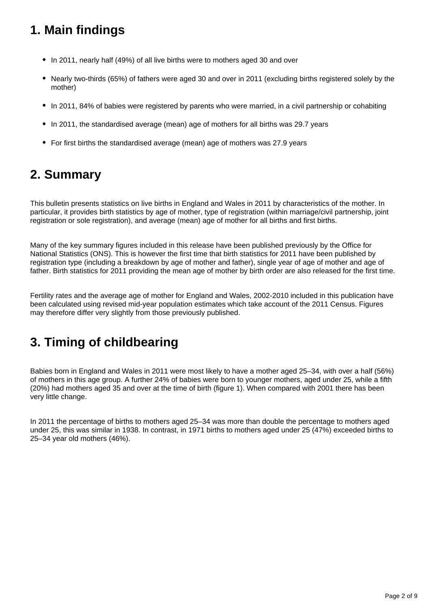## <span id="page-1-0"></span>**1. Main findings**

- In 2011, nearly half (49%) of all live births were to mothers aged 30 and over
- Nearly two-thirds (65%) of fathers were aged 30 and over in 2011 (excluding births registered solely by the mother)
- In 2011, 84% of babies were registered by parents who were married, in a civil partnership or cohabiting
- In 2011, the standardised average (mean) age of mothers for all births was 29.7 years
- For first births the standardised average (mean) age of mothers was 27.9 years

## <span id="page-1-1"></span>**2. Summary**

This bulletin presents statistics on live births in England and Wales in 2011 by characteristics of the mother. In particular, it provides birth statistics by age of mother, type of registration (within marriage/civil partnership, joint registration or sole registration), and average (mean) age of mother for all births and first births.

Many of the key summary figures included in this release have been published previously by the Office for National Statistics (ONS). This is however the first time that birth statistics for 2011 have been published by registration type (including a breakdown by age of mother and father), single year of age of mother and age of father. Birth statistics for 2011 providing the mean age of mother by birth order are also released for the first time.

Fertility rates and the average age of mother for England and Wales, 2002-2010 included in this publication have been calculated using revised mid-year population estimates which take account of the 2011 Census. Figures may therefore differ very slightly from those previously published.

## <span id="page-1-2"></span>**3. Timing of childbearing**

Babies born in England and Wales in 2011 were most likely to have a mother aged 25–34, with over a half (56%) of mothers in this age group. A further 24% of babies were born to younger mothers, aged under 25, while a fifth (20%) had mothers aged 35 and over at the time of birth (figure 1). When compared with 2001 there has been very little change.

In 2011 the percentage of births to mothers aged 25–34 was more than double the percentage to mothers aged under 25, this was similar in 1938. In contrast, in 1971 births to mothers aged under 25 (47%) exceeded births to 25–34 year old mothers (46%).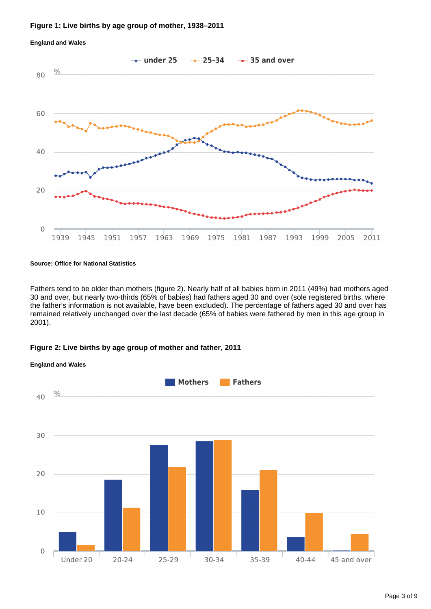#### **Figure 1: Live births by age group of mother, 1938–2011**



#### **England and Wales**

#### **Source: Office for National Statistics**

Fathers tend to be older than mothers (figure 2). Nearly half of all babies born in 2011 (49%) had mothers aged 30 and over, but nearly two-thirds (65% of babies) had fathers aged 30 and over (sole registered births, where the father's information is not available, have been excluded). The percentage of fathers aged 30 and over has remained relatively unchanged over the last decade (65% of babies were fathered by men in this age group in 2001).

### **Figure 2: Live births by age group of mother and father, 2011**



### **England and Wales**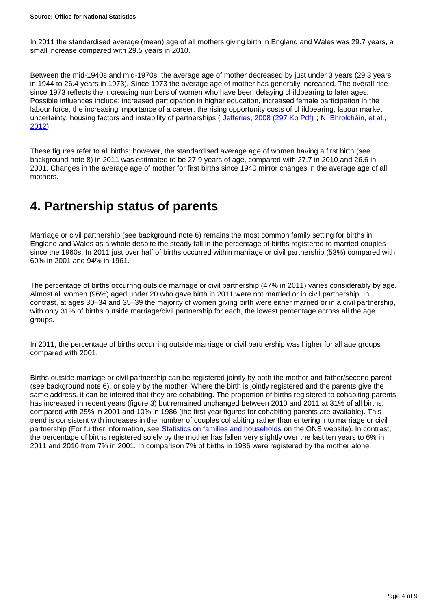In 2011 the standardised average (mean) age of all mothers giving birth in England and Wales was 29.7 years, a small increase compared with 29.5 years in 2010.

Between the mid-1940s and mid-1970s, the average age of mother decreased by just under 3 years (29.3 years in 1944 to 26.4 years in 1973). Since 1973 the average age of mother has generally increased. The overall rise since 1973 reflects the increasing numbers of women who have been delaying childbearing to later ages. Possible influences include; increased participation in higher education, increased female participation in the labour force, the increasing importance of a career, the rising opportunity costs of childbearing, labour market uncertainty, housing factors and instability of partnerships ( [Jefferies, 2008 \(297 Kb Pdf\)](http://www.ons.gov.uk/ons/rel/population-trends-rd/population-trends/no--131--spring-2008/fertility-assumptions-for-the-2006-based-national-population-projections.pdf) ; [Ní Bhrolcháin, et al.,](http://www.tandfonline.com/doi/pdf/10.1080/00324728.2012.697569)  [2012](http://www.tandfonline.com/doi/pdf/10.1080/00324728.2012.697569)).

These figures refer to all births; however, the standardised average age of women having a first birth (see background note 8) in 2011 was estimated to be 27.9 years of age, compared with 27.7 in 2010 and 26.6 in 2001. Changes in the average age of mother for first births since 1940 mirror changes in the average age of all mothers.

### <span id="page-3-0"></span>**4. Partnership status of parents**

Marriage or civil partnership (see background note 6) remains the most common family setting for births in England and Wales as a whole despite the steady fall in the percentage of births registered to married couples since the 1960s. In 2011 just over half of births occurred within marriage or civil partnership (53%) compared with 60% in 2001 and 94% in 1961.

The percentage of births occurring outside marriage or civil partnership (47% in 2011) varies considerably by age. Almost all women (96%) aged under 20 who gave birth in 2011 were not married or in civil partnership. In contrast, at ages 30–34 and 35–39 the majority of women giving birth were either married or in a civil partnership, with only 31% of births outside marriage/civil partnership for each, the lowest percentage across all the age groups.

In 2011, the percentage of births occurring outside marriage or civil partnership was higher for all age groups compared with 2001.

Births outside marriage or civil partnership can be registered jointly by both the mother and father/second parent (see background note 6), or solely by the mother. Where the birth is jointly registered and the parents give the same address, it can be inferred that they are cohabiting. The proportion of births registered to cohabiting parents has increased in recent years (figure 3) but remained unchanged between 2010 and 2011 at 31% of all births, compared with 25% in 2001 and 10% in 1986 (the first year figures for cohabiting parents are available). This trend is consistent with increases in the number of couples cohabiting rather than entering into marriage or civil partnership (For further information, see [Statistics on families and households](http://www.ons.gov.uk/ons/rel/family-demography/families-and-households/index.html) on the ONS website). In contrast, the percentage of births registered solely by the mother has fallen very slightly over the last ten years to 6% in 2011 and 2010 from 7% in 2001. In comparison 7% of births in 1986 were registered by the mother alone.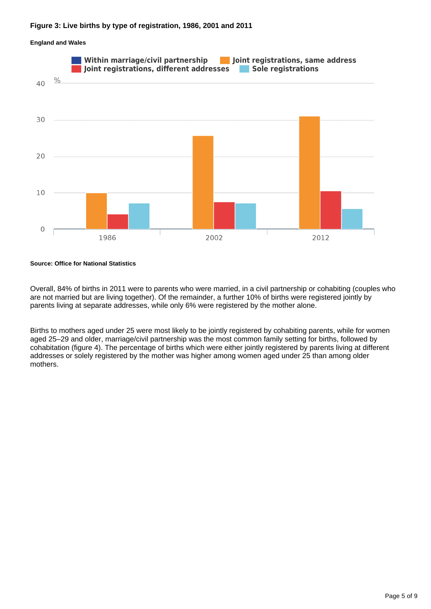### **Figure 3: Live births by type of registration, 1986, 2001 and 2011**

## Within marriage/civil partnership Joint registrations, same address Joint registrations, different addresses Sole registrations  $\frac{0}{0}$ 40 30 20 10  $\mathbf 0$ 2002 2012 1986

### **England and Wales**

#### **Source: Office for National Statistics**

Overall, 84% of births in 2011 were to parents who were married, in a civil partnership or cohabiting (couples who are not married but are living together). Of the remainder, a further 10% of births were registered jointly by parents living at separate addresses, while only 6% were registered by the mother alone.

Births to mothers aged under 25 were most likely to be jointly registered by cohabiting parents, while for women aged 25–29 and older, marriage/civil partnership was the most common family setting for births, followed by cohabitation (figure 4). The percentage of births which were either jointly registered by parents living at different addresses or solely registered by the mother was higher among women aged under 25 than among older mothers.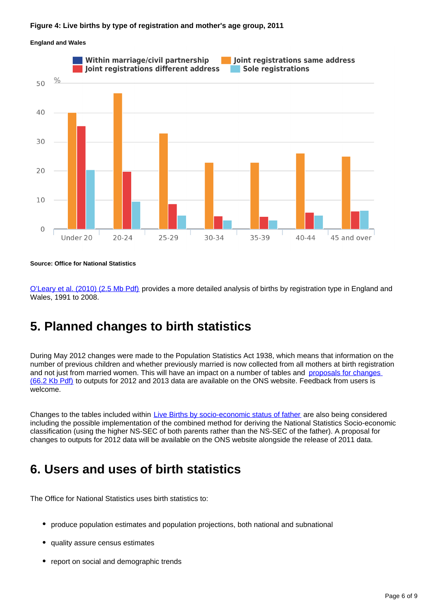### **Figure 4: Live births by type of registration and mother's age group, 2011**

#### **England and Wales**



**Source: Office for National Statistics**

[O'Leary et al. \(2010\) \(2.5 Mb Pdf\)](http://www.ons.gov.uk/ons/rel/population-trends-rd/population-trends/no--140--summer-2010/population-trends---no--140.pdf) provides a more detailed analysis of births by registration type in England and Wales, 1991 to 2008.

### <span id="page-5-0"></span>**5. Planned changes to birth statistics**

During May 2012 changes were made to the Population Statistics Act 1938, which means that information on the number of previous children and whether previously married is now collected from all mothers at birth registration and not just from married women. This will have an impact on a number of tables and proposals for changes [\(66.2 Kb Pdf\)](http://www.ons.gov.uk/ons/guide-method/user-guidance/health-and-life-events/how-changes-to-population-statistics-act-will-affect-birth-statistics.pdf) to outputs for 2012 and 2013 data are available on the ONS website. Feedback from users is welcome.

Changes to the tables included within [Live Births by socio-economic status of father](http://www.ons.gov.uk/ons/rel/vsob1/live-births-by-socio-economic-status-of-father--england-and-wales/index.html) are also being considered including the possible implementation of the combined method for deriving the National Statistics Socio-economic classification (using the higher NS-SEC of both parents rather than the NS-SEC of the father). A proposal for changes to outputs for 2012 data will be available on the ONS website alongside the release of 2011 data.

### <span id="page-5-1"></span>**6. Users and uses of birth statistics**

The Office for National Statistics uses birth statistics to:

- produce population estimates and population projections, both national and subnational
- quality assure census estimates
- report on social and demographic trends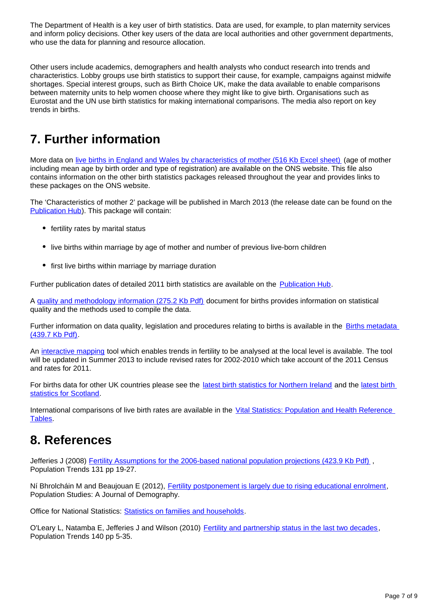The Department of Health is a key user of birth statistics. Data are used, for example, to plan maternity services and inform policy decisions. Other key users of the data are local authorities and other government departments, who use the data for planning and resource allocation.

Other users include academics, demographers and health analysts who conduct research into trends and characteristics. Lobby groups use birth statistics to support their cause, for example, campaigns against midwife shortages. Special interest groups, such as Birth Choice UK, make the data available to enable comparisons between maternity units to help women choose where they might like to give birth. Organisations such as Eurostat and the UN use birth statistics for making international comparisons. The media also report on key trends in births.

## <span id="page-6-0"></span>**7. Further information**

More data on [live births in England and Wales by characteristics of mother \(516 Kb Excel sheet\)](http://www.ons.gov.uk/ons/rel/vsob1/characteristics-of-Mother-1--england-and-wales/2011/rft-characteristics-of-mother-1--england-and-wales-2011.xls) (age of mother including mean age by birth order and type of registration) are available on the ONS website. This file also contains information on the other birth statistics packages released throughout the year and provides links to these packages on the ONS website.

The 'Characteristics of mother 2' package will be published in March 2013 (the release date can be found on the [Publication Hub\)](http://www.ons.gov.uk/ons/external-links/stats-authority/publication-hub.html). This package will contain:

- fertility rates by marital status
- live births within marriage by age of mother and number of previous live-born children
- first live births within marriage by marriage duration

Further publication dates of detailed 2011 birth statistics are available on the [Publication Hub](http://www.ons.gov.uk/ons/external-links/stats-authority/publication-hub.html).

A [quality and methodology information \(275.2 Kb Pdf\)](http://www.ons.gov.uk/ons/guide-method/method-quality/quality/quality-information/population/quality-and-methodology-information-for-birth-statistics.pdf) document for births provides information on statistical quality and the methods used to compile the data.

Further information on data quality, legislation and procedures relating to births is available in the Births metadata [\(439.7 Kb Pdf\)](http://www.ons.gov.uk/ons/guide-method/user-guidance/health-and-life-events/births-metadata.pdf).

An [interactive mapping](http://www.ons.gov.uk/ons/external-links/other-ns-online/neighbourhood-statistics--ness-/fertility-mapping-tool.html) tool which enables trends in fertility to be analysed at the local level is available. The tool will be updated in Summer 2013 to include revised rates for 2002-2010 which take account of the 2011 Census and rates for 2011.

For births data for other UK countries please see the [latest birth statistics for Northern Ireland](http://www.ons.gov.uk/ons/external-links/devolved-admins/nisra/nisra---births-statistics.html) and the [latest birth](http://www.ons.gov.uk/ons/external-links/devolved-admins/scottish-government/gro-scotland--births.html)  [statistics for Scotland](http://www.ons.gov.uk/ons/external-links/devolved-admins/scottish-government/gro-scotland--births.html).

International comparisons of live birth rates are available in the [Vital Statistics: Population and Health Reference](http://www.ons.gov.uk/ons/rel/vsob1/vital-statistics--population-and-health-reference-tables/index.html)  [Tables](http://www.ons.gov.uk/ons/rel/vsob1/vital-statistics--population-and-health-reference-tables/index.html).

## <span id="page-6-1"></span>**8. References**

Jefferies J (2008) Fertility Assumptions for the 2006-based national population projections (423.9 Kb Pdf), Population Trends 131 pp 19-27.

Ní Bhrolcháin M and Beaujouan E (2012), [Fertility postponement is largely due to rising educational enrolment](http://www.tandfonline.com/doi/pdf/10.1080/00324728.2012.697569), Population Studies: A Journal of Demography.

Office for National Statistics: **[Statistics on families and households](http://www.ons.gov.uk/ons/rel/family-demography/families-and-households/index.html)**.

O'Leary L, Natamba E, Jefferies J and Wilson (2010) [Fertility and partnership status in the last two decades,](http://www.ons.gov.uk/ons/rel/population-trends-rd/population-trends/no--140--summer-2010/index.html) Population Trends 140 pp 5-35.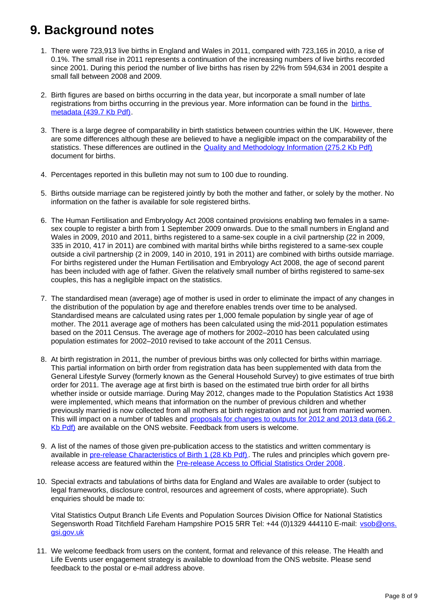## <span id="page-7-0"></span>**9. Background notes**

- 1. There were 723,913 live births in England and Wales in 2011, compared with 723,165 in 2010, a rise of 0.1%. The small rise in 2011 represents a continuation of the increasing numbers of live births recorded since 2001. During this period the number of live births has risen by 22% from 594,634 in 2001 despite a small fall between 2008 and 2009.
- 2. Birth figures are based on births occurring in the data year, but incorporate a small number of late registrations from [births](http://www.ons.gov.uk/ons/guide-method/user-guidance/health-and-life-events/births-metadata.pdf) occurring in the previous year. More information can be found in the births [metadata \(439.7 Kb Pdf\).](http://www.ons.gov.uk/ons/guide-method/user-guidance/health-and-life-events/births-metadata.pdf)
- 3. There is a large degree of comparability in birth statistics between countries within the UK. However, there are some differences although these are believed to have a negligible impact on the comparability of the statistics. These differences are outlined in the [Quality and Methodology Information \(275.2 Kb Pdf\)](http://www.ons.gov.uk/ons/guide-method/method-quality/quality/quality-information/population/quality-and-methodology-information-for-birth-statistics.pdf) document for births.
- 4. Percentages reported in this bulletin may not sum to 100 due to rounding.
- 5. Births outside marriage can be registered jointly by both the mother and father, or solely by the mother. No information on the father is available for sole registered births.
- 6. The Human Fertilisation and Embryology Act 2008 contained provisions enabling two females in a samesex couple to register a birth from 1 September 2009 onwards. Due to the small numbers in England and Wales in 2009, 2010 and 2011, births registered to a same-sex couple in a civil partnership (22 in 2009, 335 in 2010, 417 in 2011) are combined with marital births while births registered to a same-sex couple outside a civil partnership (2 in 2009, 140 in 2010, 191 in 2011) are combined with births outside marriage. For births registered under the Human Fertilisation and Embryology Act 2008, the age of second parent has been included with age of father. Given the relatively small number of births registered to same-sex couples, this has a negligible impact on the statistics.
- 7. The standardised mean (average) age of mother is used in order to eliminate the impact of any changes in the distribution of the population by age and therefore enables trends over time to be analysed. Standardised means are calculated using rates per 1,000 female population by single year of age of mother. The 2011 average age of mothers has been calculated using the mid-2011 population estimates based on the 2011 Census. The average age of mothers for 2002–2010 has been calculated using population estimates for 2002–2010 revised to take account of the 2011 Census.
- 8. At birth registration in 2011, the number of previous births was only collected for births within marriage. This partial information on birth order from registration data has been supplemented with data from the General Lifestyle Survey (formerly known as the General Household Survey) to give estimates of true birth order for 2011. The average age at first birth is based on the estimated true birth order for all births whether inside or outside marriage. During May 2012, changes made to the Population Statistics Act 1938 were implemented, which means that information on the number of previous children and whether previously married is now collected from all mothers at birth registration and not just from married women. This will impact on a number of tables and proposals for changes to outputs for 2012 and 2013 data (66.2 [Kb Pdf\)](http://www.ons.gov.uk/ons/guide-method/user-guidance/health-and-life-events/how-changes-to-population-statistics-act-will-affect-birth-statistics.pdf) are available on the ONS website. Feedback from users is welcome.
- 9. A list of the names of those given pre-publication access to the statistics and written commentary is available in [pre-release Characteristics of Birth 1 \(28 Kb Pdf\).](http://www.ons.gov.uk/ons/rel/vsob1/characteristics-of-Mother-1--england-and-wales/2011/pra-characteristics-of-mother-1-2011.pdf) The rules and principles which govern prerelease access are featured within the [Pre-release Access to Official Statistics Order 2008](http://www.ons.gov.uk/ons/external-links/parliament/pre-release-access-to-official-statistics-order-2008.html).
- 10. Special extracts and tabulations of births data for England and Wales are available to order (subject to legal frameworks, disclosure control, resources and agreement of costs, where appropriate). Such enquiries should be made to:

Vital Statistics Output Branch Life Events and Population Sources Division Office for National Statistics Segensworth Road Titchfield Fareham Hampshire PO15 5RR Tel: +44 (0)1329 444110 E-mail: vsob@ons. gsi.gov.uk

11. We welcome feedback from users on the content, format and relevance of this release. The Health and Life Events user engagement strategy is available to download from the ONS website. Please send feedback to the postal or e-mail address above.